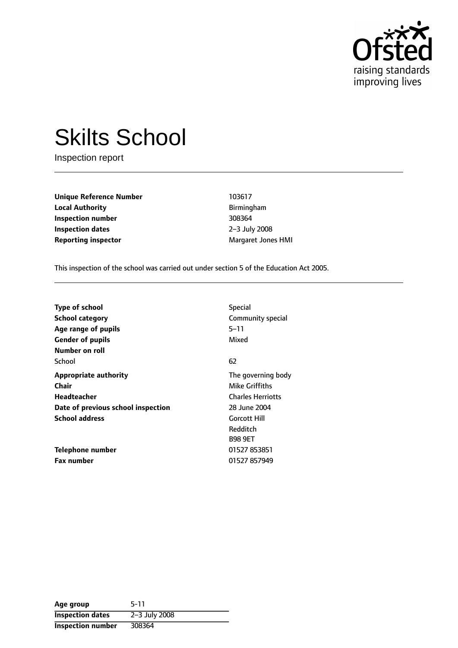

# Skilts School

Inspection report

**Unique Reference Number** 103617 **Local Authority Birmingham Inspection number** 308364 **Inspection dates** 2-3 July 2008 **Reporting inspector** Margaret Jones HMI

This inspection of the school was carried out under section 5 of the Education Act 2005.

| <b>Type of school</b><br><b>School category</b><br>Age range of pupils | <b>Special</b><br>Community special<br>5-11<br>Mixed |
|------------------------------------------------------------------------|------------------------------------------------------|
| <b>Gender of pupils</b><br>Number on roll                              |                                                      |
| School                                                                 | 62                                                   |
| <b>Appropriate authority</b>                                           | The governing body                                   |
| Chair<br>Headteacher                                                   | Mike Griffiths<br><b>Charles Herriotts</b>           |
| Date of previous school inspection                                     | 28 June 2004                                         |
| <b>School address</b>                                                  | <b>Gorcott Hill</b><br>Redditch<br><b>B98 9ET</b>    |
| Telephone number                                                       | 01527 853851                                         |
| <b>Fax number</b>                                                      | 01527 857949                                         |

| Age group                | $5-11$        |
|--------------------------|---------------|
| <b>Inspection dates</b>  | 2-3 July 2008 |
| <b>Inspection number</b> | 308364        |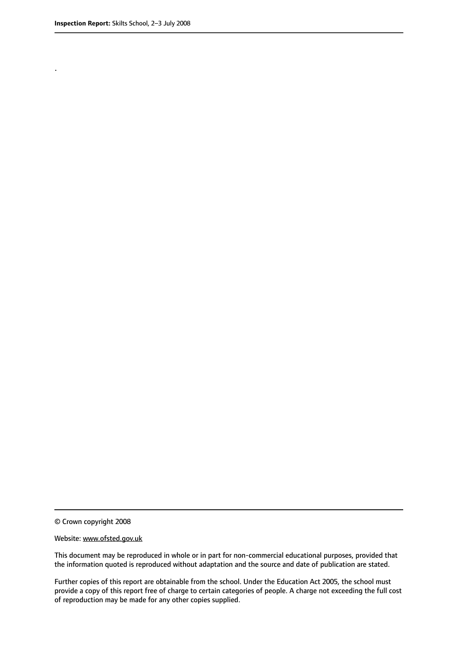.

© Crown copyright 2008

#### Website: www.ofsted.gov.uk

This document may be reproduced in whole or in part for non-commercial educational purposes, provided that the information quoted is reproduced without adaptation and the source and date of publication are stated.

Further copies of this report are obtainable from the school. Under the Education Act 2005, the school must provide a copy of this report free of charge to certain categories of people. A charge not exceeding the full cost of reproduction may be made for any other copies supplied.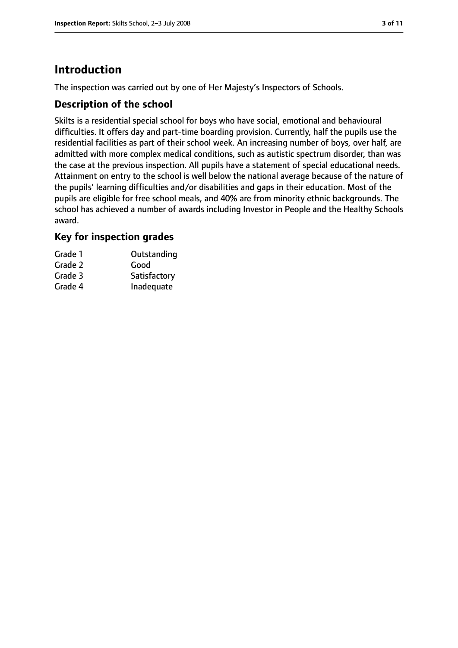# **Introduction**

The inspection was carried out by one of Her Majesty's Inspectors of Schools.

## **Description of the school**

Skilts is a residential special school for boys who have social, emotional and behavioural difficulties. It offers day and part-time boarding provision. Currently, half the pupils use the residential facilities as part of their school week. An increasing number of boys, over half, are admitted with more complex medical conditions, such as autistic spectrum disorder, than was the case at the previous inspection. All pupils have a statement of special educational needs. Attainment on entry to the school is well below the national average because of the nature of the pupils' learning difficulties and/or disabilities and gaps in their education. Most of the pupils are eligible for free school meals, and 40% are from minority ethnic backgrounds. The school has achieved a number of awards including Investor in People and the Healthy Schools award.

## **Key for inspection grades**

| Outstanding  |
|--------------|
| Good         |
| Satisfactory |
| Inadequate   |
|              |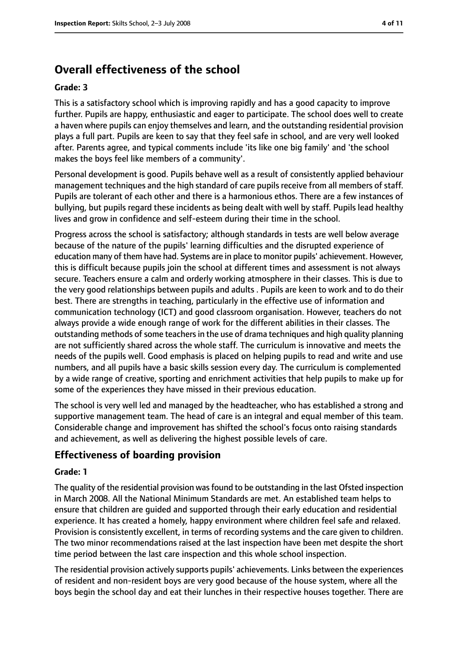## **Overall effectiveness of the school**

#### **Grade: 3**

This is a satisfactory school which is improving rapidly and has a good capacity to improve further. Pupils are happy, enthusiastic and eager to participate. The school does well to create a haven where pupils can enjoy themselves and learn, and the outstanding residential provision plays a full part. Pupils are keen to say that they feel safe in school, and are very well looked after. Parents agree, and typical comments include 'its like one big family' and 'the school makes the boys feel like members of a community'.

Personal development is good. Pupils behave well as a result of consistently applied behaviour management techniques and the high standard of care pupils receive from all members of staff. Pupils are tolerant of each other and there is a harmonious ethos. There are a few instances of bullying, but pupils regard these incidents as being dealt with well by staff. Pupils lead healthy lives and grow in confidence and self-esteem during their time in the school.

Progress across the school is satisfactory; although standards in tests are well below average because of the nature of the pupils' learning difficulties and the disrupted experience of education many of them have had. Systems are in place to monitor pupils' achievement. However, this is difficult because pupils join the school at different times and assessment is not always secure. Teachers ensure a calm and orderly working atmosphere in their classes. This is due to the very good relationships between pupils and adults . Pupils are keen to work and to do their best. There are strengths in teaching, particularly in the effective use of information and communication technology (ICT) and good classroom organisation. However, teachers do not always provide a wide enough range of work for the different abilities in their classes. The outstanding methods of some teachers in the use of drama techniques and high quality planning are not sufficiently shared across the whole staff. The curriculum is innovative and meets the needs of the pupils well. Good emphasis is placed on helping pupils to read and write and use numbers, and all pupils have a basic skills session every day. The curriculum is complemented by a wide range of creative, sporting and enrichment activities that help pupils to make up for some of the experiences they have missed in their previous education.

The school is very well led and managed by the headteacher, who has established a strong and supportive management team. The head of care is an integral and equal member of this team. Considerable change and improvement has shifted the school's focus onto raising standards and achievement, as well as delivering the highest possible levels of care.

## **Effectiveness of boarding provision**

#### **Grade: 1**

The quality of the residential provision wasfound to be outstanding in the last Ofsted inspection in March 2008. All the National Minimum Standards are met. An established team helps to ensure that children are guided and supported through their early education and residential experience. It has created a homely, happy environment where children feel safe and relaxed. Provision is consistently excellent, in terms of recording systems and the care given to children. The two minor recommendations raised at the last inspection have been met despite the short time period between the last care inspection and this whole school inspection.

The residential provision actively supports pupils' achievements. Links between the experiences of resident and non-resident boys are very good because of the house system, where all the boys begin the school day and eat their lunches in their respective houses together. There are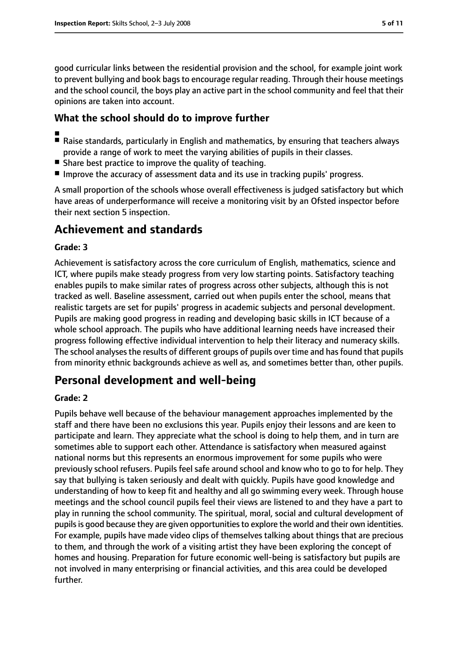good curricular links between the residential provision and the school, for example joint work to prevent bullying and book bags to encourage regular reading. Through their house meetings and the school council, the boys play an active part in the school community and feel that their opinions are taken into account.

## **What the school should do to improve further**

- ■
- Raise standards, particularly in English and mathematics, by ensuring that teachers always provide a range of work to meet the varying abilities of pupils in their classes.
- Share best practice to improve the quality of teaching.
- Improve the accuracy of assessment data and its use in tracking pupils' progress.

A small proportion of the schools whose overall effectiveness is judged satisfactory but which have areas of underperformance will receive a monitoring visit by an Ofsted inspector before their next section 5 inspection.

## **Achievement and standards**

#### **Grade: 3**

Achievement is satisfactory across the core curriculum of English, mathematics, science and ICT, where pupils make steady progress from very low starting points. Satisfactory teaching enables pupils to make similar rates of progress across other subjects, although this is not tracked as well. Baseline assessment, carried out when pupils enter the school, means that realistic targets are set for pupils' progress in academic subjects and personal development. Pupils are making good progress in reading and developing basic skills in ICT because of a whole school approach. The pupils who have additional learning needs have increased their progress following effective individual intervention to help their literacy and numeracy skills. The school analyses the results of different groups of pupils over time and has found that pupils from minority ethnic backgrounds achieve as well as, and sometimes better than, other pupils.

## **Personal development and well-being**

#### **Grade: 2**

Pupils behave well because of the behaviour management approaches implemented by the staff and there have been no exclusions this year. Pupils enjoy their lessons and are keen to participate and learn. They appreciate what the school is doing to help them, and in turn are sometimes able to support each other. Attendance is satisfactory when measured against national norms but this represents an enormous improvement for some pupils who were previously school refusers. Pupils feel safe around school and know who to go to for help. They say that bullying is taken seriously and dealt with quickly. Pupils have good knowledge and understanding of how to keep fit and healthy and all go swimming every week. Through house meetings and the school council pupils feel their views are listened to and they have a part to play in running the school community. The spiritual, moral, social and cultural development of pupils is good because they are given opportunities to explore the world and their own identities. For example, pupils have made video clips of themselves talking about things that are precious to them, and through the work of a visiting artist they have been exploring the concept of homes and housing. Preparation for future economic well-being is satisfactory but pupils are not involved in many enterprising or financial activities, and this area could be developed further.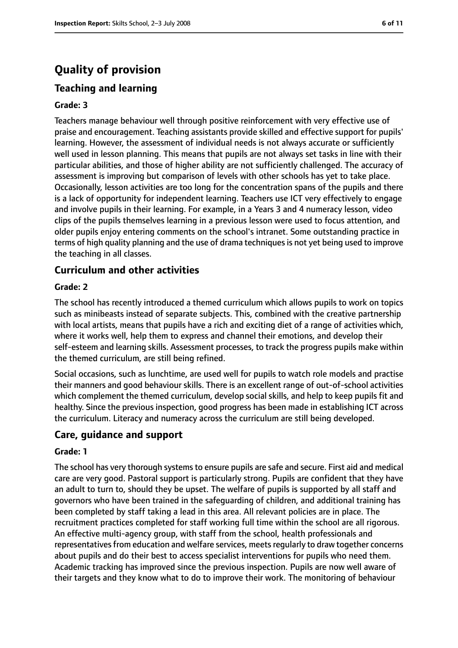# **Quality of provision**

## **Teaching and learning**

#### **Grade: 3**

Teachers manage behaviour well through positive reinforcement with very effective use of praise and encouragement. Teaching assistants provide skilled and effective support for pupils' learning. However, the assessment of individual needs is not always accurate or sufficiently well used in lesson planning. This means that pupils are not always set tasks in line with their particular abilities, and those of higher ability are not sufficiently challenged. The accuracy of assessment is improving but comparison of levels with other schools has yet to take place. Occasionally, lesson activities are too long for the concentration spans of the pupils and there is a lack of opportunity for independent learning. Teachers use ICT very effectively to engage and involve pupils in their learning. For example, in a Years 3 and 4 numeracy lesson, video clips of the pupils themselves learning in a previous lesson were used to focus attention, and older pupils enjoy entering comments on the school's intranet. Some outstanding practice in terms of high quality planning and the use of drama techniques is not yet being used to improve the teaching in all classes.

## **Curriculum and other activities**

#### **Grade: 2**

The school has recently introduced a themed curriculum which allows pupils to work on topics such as minibeasts instead of separate subjects. This, combined with the creative partnership with local artists, means that pupils have a rich and exciting diet of a range of activities which, where it works well, help them to express and channel their emotions, and develop their self-esteem and learning skills. Assessment processes, to track the progress pupils make within the themed curriculum, are still being refined.

Social occasions, such as lunchtime, are used well for pupils to watch role models and practise their manners and good behaviour skills. There is an excellent range of out-of-school activities which complement the themed curriculum, develop social skills, and help to keep pupils fit and healthy. Since the previous inspection, good progress has been made in establishing ICT across the curriculum. Literacy and numeracy across the curriculum are still being developed.

#### **Care, guidance and support**

#### **Grade: 1**

The school has very thorough systems to ensure pupils are safe and secure. First aid and medical care are very good. Pastoral support is particularly strong. Pupils are confident that they have an adult to turn to, should they be upset. The welfare of pupils is supported by all staff and governors who have been trained in the safeguarding of children, and additional training has been completed by staff taking a lead in this area. All relevant policies are in place. The recruitment practices completed for staff working full time within the school are all rigorous. An effective multi-agency group, with staff from the school, health professionals and representatives from education and welfare services, meets regularly to draw together concerns about pupils and do their best to access specialist interventions for pupils who need them. Academic tracking has improved since the previous inspection. Pupils are now well aware of their targets and they know what to do to improve their work. The monitoring of behaviour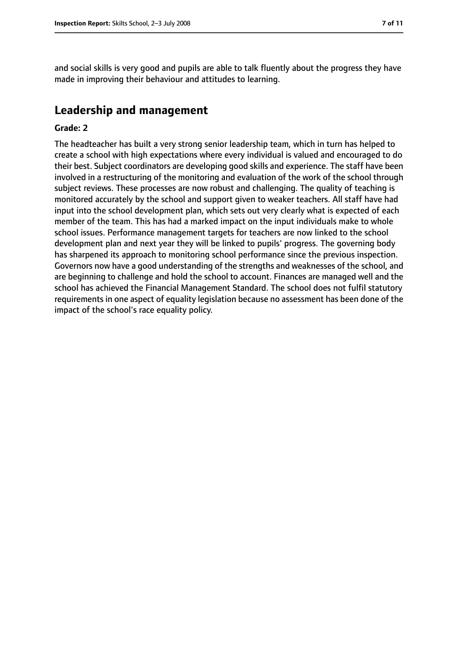and social skills is very good and pupils are able to talk fluently about the progress they have made in improving their behaviour and attitudes to learning.

## **Leadership and management**

#### **Grade: 2**

The headteacher has built a very strong senior leadership team, which in turn has helped to create a school with high expectations where every individual is valued and encouraged to do their best. Subject coordinators are developing good skills and experience. The staff have been involved in a restructuring of the monitoring and evaluation of the work of the school through subject reviews. These processes are now robust and challenging. The quality of teaching is monitored accurately by the school and support given to weaker teachers. All staff have had input into the school development plan, which sets out very clearly what is expected of each member of the team. This has had a marked impact on the input individuals make to whole school issues. Performance management targets for teachers are now linked to the school development plan and next year they will be linked to pupils' progress. The governing body has sharpened its approach to monitoring school performance since the previous inspection. Governors now have a good understanding of the strengths and weaknesses of the school, and are beginning to challenge and hold the school to account. Finances are managed well and the school has achieved the Financial Management Standard. The school does not fulfil statutory requirements in one aspect of equality legislation because no assessment has been done of the impact of the school's race equality policy.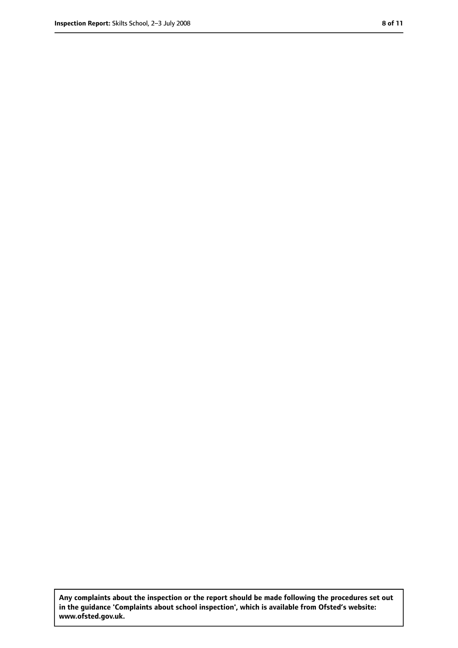**Any complaints about the inspection or the report should be made following the procedures set out in the guidance 'Complaints about school inspection', which is available from Ofsted's website: www.ofsted.gov.uk.**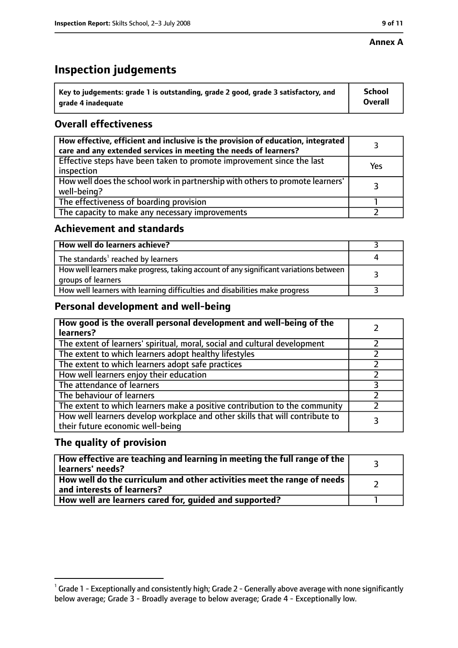#### **Annex A**

# **Inspection judgements**

| $\degree$ Key to judgements: grade 1 is outstanding, grade 2 good, grade 3 satisfactory, and | <b>School</b>  |
|----------------------------------------------------------------------------------------------|----------------|
| arade 4 inadeguate                                                                           | <b>Overall</b> |

## **Overall effectiveness**

| How effective, efficient and inclusive is the provision of education, integrated<br>care and any extended services in meeting the needs of learners? |     |
|------------------------------------------------------------------------------------------------------------------------------------------------------|-----|
| Effective steps have been taken to promote improvement since the last<br>inspection                                                                  | Yes |
| How well does the school work in partnership with others to promote learners'<br>well-being?                                                         |     |
| The effectiveness of boarding provision                                                                                                              |     |
| The capacity to make any necessary improvements                                                                                                      |     |

## **Achievement and standards**

| How well do learners achieve?                                                                               |  |
|-------------------------------------------------------------------------------------------------------------|--|
| The standards <sup>1</sup> reached by learners                                                              |  |
| How well learners make progress, taking account of any significant variations between<br>groups of learners |  |
| How well learners with learning difficulties and disabilities make progress                                 |  |

## **Personal development and well-being**

| How good is the overall personal development and well-being of the<br>learners?                                  |  |
|------------------------------------------------------------------------------------------------------------------|--|
| The extent of learners' spiritual, moral, social and cultural development                                        |  |
| The extent to which learners adopt healthy lifestyles                                                            |  |
| The extent to which learners adopt safe practices                                                                |  |
| How well learners enjoy their education                                                                          |  |
| The attendance of learners                                                                                       |  |
| The behaviour of learners                                                                                        |  |
| The extent to which learners make a positive contribution to the community                                       |  |
| How well learners develop workplace and other skills that will contribute to<br>their future economic well-being |  |

## **The quality of provision**

| How effective are teaching and learning in meeting the full range of the<br>learners' needs?          |  |
|-------------------------------------------------------------------------------------------------------|--|
| How well do the curriculum and other activities meet the range of needs<br>and interests of learners? |  |
| How well are learners cared for, quided and supported?                                                |  |

 $^1$  Grade 1 - Exceptionally and consistently high; Grade 2 - Generally above average with none significantly below average; Grade 3 - Broadly average to below average; Grade 4 - Exceptionally low.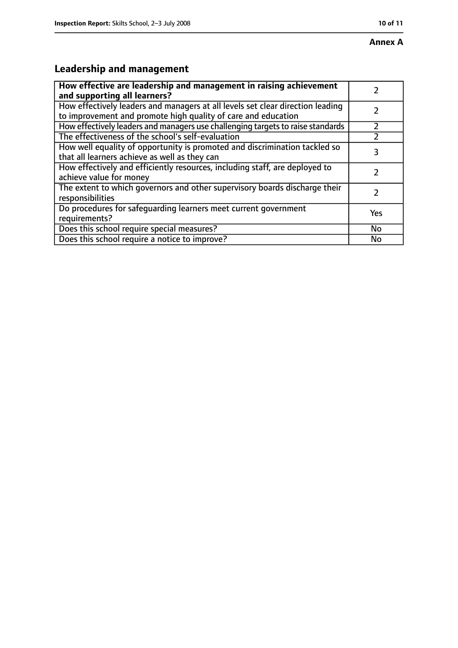# **Leadership and management**

| How effective are leadership and management in raising achievement<br>and supporting all learners?                                              |     |
|-------------------------------------------------------------------------------------------------------------------------------------------------|-----|
| How effectively leaders and managers at all levels set clear direction leading<br>to improvement and promote high quality of care and education |     |
| How effectively leaders and managers use challenging targets to raise standards                                                                 |     |
| The effectiveness of the school's self-evaluation                                                                                               |     |
| How well equality of opportunity is promoted and discrimination tackled so<br>that all learners achieve as well as they can                     | 3   |
| How effectively and efficiently resources, including staff, are deployed to<br>achieve value for money                                          |     |
| The extent to which governors and other supervisory boards discharge their<br>responsibilities                                                  |     |
| Do procedures for safequarding learners meet current government<br>requirements?                                                                | Yes |
| Does this school require special measures?                                                                                                      | No  |
| Does this school require a notice to improve?                                                                                                   | No  |